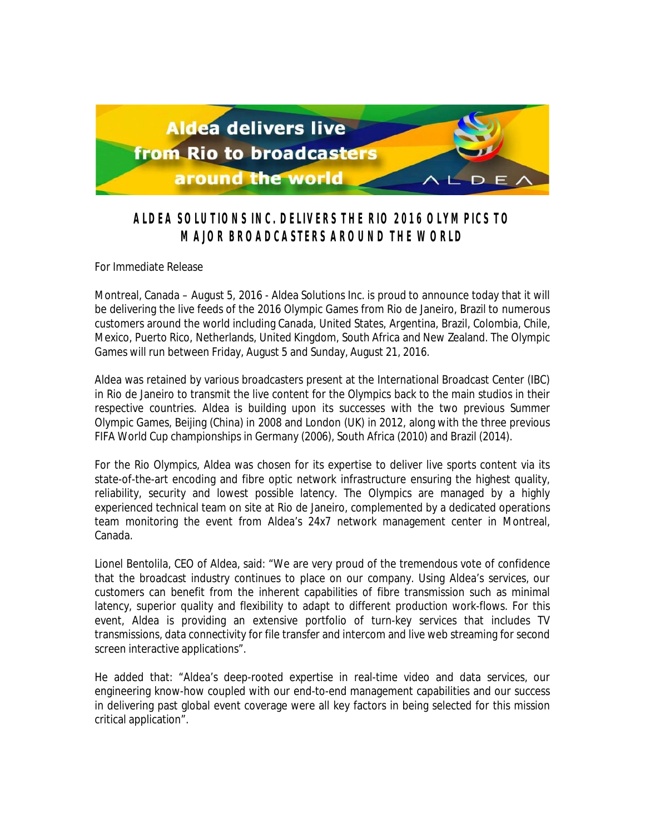

## **ALDEA SOLUTIONS INC. DELIVERS THE RIO 2016 OLYMPICS TO MAJOR BROADCASTERS AROUND THE WORLD**

For Immediate Release

Montreal, Canada – August 5, 2016 - Aldea Solutions Inc. is proud to announce today that it will be delivering the live feeds of the 2016 Olympic Games from Rio de Janeiro, Brazil to numerous customers around the world including Canada, United States, Argentina, Brazil, Colombia, Chile, Mexico, Puerto Rico, Netherlands, United Kingdom, South Africa and New Zealand. The Olympic Games will run between Friday, August 5 and Sunday, August 21, 2016.

Aldea was retained by various broadcasters present at the International Broadcast Center (IBC) in Rio de Janeiro to transmit the live content for the Olympics back to the main studios in their respective countries. Aldea is building upon its successes with the two previous Summer Olympic Games, Beijing (China) in 2008 and London (UK) in 2012, along with the three previous FIFA World Cup championships in Germany (2006), South Africa (2010) and Brazil (2014).

For the Rio Olympics, Aldea was chosen for its expertise to deliver live sports content via its state-of-the-art encoding and fibre optic network infrastructure ensuring the highest quality, reliability, security and lowest possible latency. The Olympics are managed by a highly experienced technical team on site at Rio de Janeiro, complemented by a dedicated operations team monitoring the event from Aldea's 24x7 network management center in Montreal, Canada.

Lionel Bentolila, CEO of Aldea, said: "We are very proud of the tremendous vote of confidence that the broadcast industry continues to place on our company. Using Aldea's services, our customers can benefit from the inherent capabilities of fibre transmission such as minimal latency, superior quality and flexibility to adapt to different production work-flows. For this event, Aldea is providing an extensive portfolio of turn-key services that includes TV transmissions, data connectivity for file transfer and intercom and live web streaming for second screen interactive applications".

He added that: "Aldea's deep-rooted expertise in real-time video and data services, our engineering know-how coupled with our end-to-end management capabilities and our success in delivering past global event coverage were all key factors in being selected for this mission critical application".